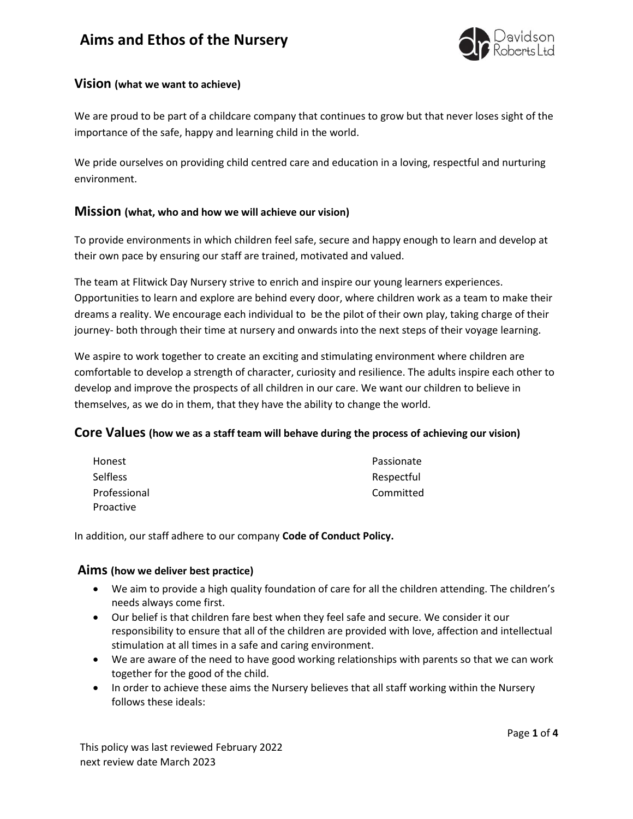# **Aims and Ethos of the Nursery**



## **Vision (what we want to achieve)**

We are proud to be part of a childcare company that continues to grow but that never loses sight of the importance of the safe, happy and learning child in the world.

We pride ourselves on providing child centred care and education in a loving, respectful and nurturing environment.

### **Mission (what, who and how we will achieve our vision)**

To provide environments in which children feel safe, secure and happy enough to learn and develop at their own pace by ensuring our staff are trained, motivated and valued.

The team at Flitwick Day Nursery strive to enrich and inspire our young learners experiences. Opportunities to learn and explore are behind every door, where children work as a team to make their dreams a reality. We encourage each individual to be the pilot of their own play, taking charge of their journey- both through their time at nursery and onwards into the next steps of their voyage learning.

We aspire to work together to create an exciting and stimulating environment where children are comfortable to develop a strength of character, curiosity and resilience. The adults inspire each other to develop and improve the prospects of all children in our care. We want our children to believe in themselves, as we do in them, that they have the ability to change the world.

### **Core Values (how we as a staff team will behave during the process of achieving our vision)**

| Honest          | Passionate |
|-----------------|------------|
| <b>Selfless</b> | Respectful |
| Professional    | Committed  |
| Proactive       |            |

In addition, our staff adhere to our company **Code of Conduct Policy.** 

### **Aims (how we deliver best practice)**

- We aim to provide a high quality foundation of care for all the children attending. The children's needs always come first.
- Our belief is that children fare best when they feel safe and secure. We consider it our responsibility to ensure that all of the children are provided with love, affection and intellectual stimulation at all times in a safe and caring environment.
- We are aware of the need to have good working relationships with parents so that we can work together for the good of the child.
- In order to achieve these aims the Nursery believes that all staff working within the Nursery follows these ideals: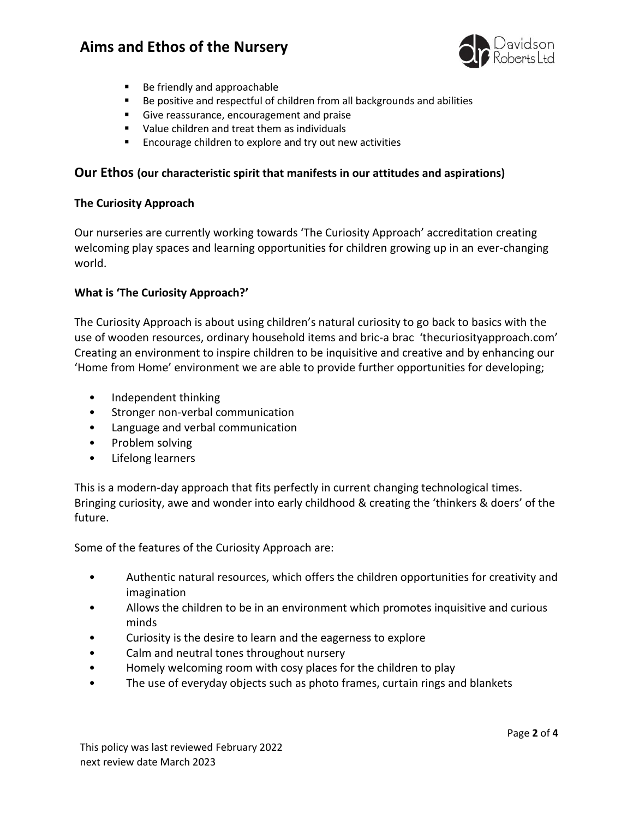# **Aims and Ethos of the Nursery**



- Be friendly and approachable
- Be positive and respectful of children from all backgrounds and abilities
- Give reassurance, encouragement and praise
- Value children and treat them as individuals
- Encourage children to explore and try out new activities

### **Our Ethos (our characteristic spirit that manifests in our attitudes and aspirations)**

#### **The Curiosity Approach**

Our nurseries are currently working towards 'The Curiosity Approach' accreditation creating welcoming play spaces and learning opportunities for children growing up in an ever-changing world.

#### **What is 'The Curiosity Approach?'**

The Curiosity Approach is about using children's natural curiosity to go back to basics with the use of wooden resources, ordinary household items and bric-a brac 'thecuriosityapproach.com' Creating an environment to inspire children to be inquisitive and creative and by enhancing our 'Home from Home' environment we are able to provide further opportunities for developing;

- Independent thinking
- Stronger non-verbal communication
- Language and verbal communication
- Problem solving
- Lifelong learners

This is a modern-day approach that fits perfectly in current changing technological times. Bringing curiosity, awe and wonder into early childhood & creating the 'thinkers & doers' of the future.

Some of the features of the Curiosity Approach are:

- Authentic natural resources, which offers the children opportunities for creativity and imagination
- Allows the children to be in an environment which promotes inquisitive and curious minds
- Curiosity is the desire to learn and the eagerness to explore
- Calm and neutral tones throughout nursery
- Homely welcoming room with cosy places for the children to play
- The use of everyday objects such as photo frames, curtain rings and blankets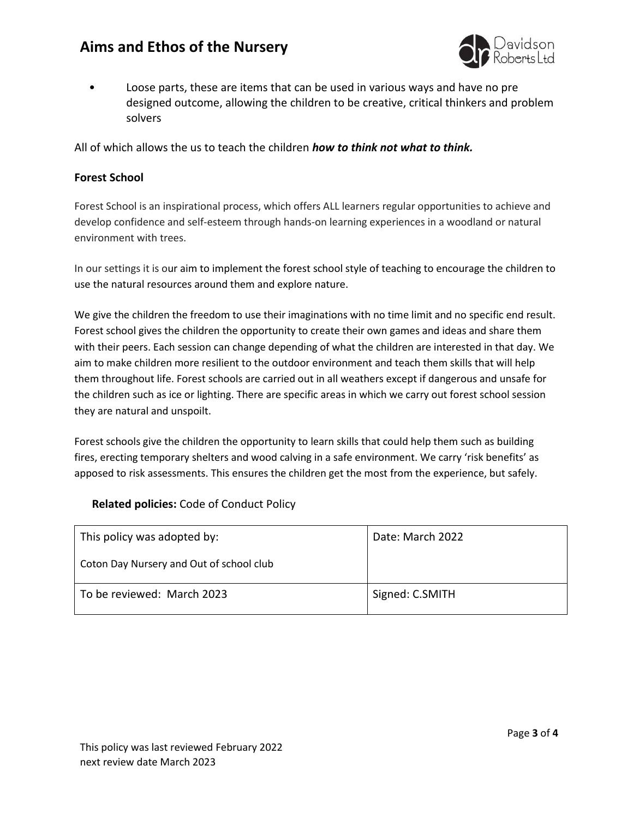# **Aims and Ethos of the Nursery**



• Loose parts, these are items that can be used in various ways and have no pre designed outcome, allowing the children to be creative, critical thinkers and problem solvers

All of which allows the us to teach the children *how to think not what to think.*

#### **Forest School**

Forest School is an inspirational process, which offers ALL learners regular opportunities to achieve and develop confidence and self-esteem through hands-on learning experiences in a woodland or natural environment with trees.

In our settings it is our aim to implement the forest school style of teaching to encourage the children to use the natural resources around them and explore nature.

We give the children the freedom to use their imaginations with no time limit and no specific end result. Forest school gives the children the opportunity to create their own games and ideas and share them with their peers. Each session can change depending of what the children are interested in that day. We aim to make children more resilient to the outdoor environment and teach them skills that will help them throughout life. Forest schools are carried out in all weathers except if dangerous and unsafe for the children such as ice or lighting. There are specific areas in which we carry out forest school session they are natural and unspoilt.

Forest schools give the children the opportunity to learn skills that could help them such as building fires, erecting temporary shelters and wood calving in a safe environment. We carry 'risk benefits' as apposed to risk assessments. This ensures the children get the most from the experience, but safely.

### **Related policies:** Code of Conduct Policy

| This policy was adopted by:              | Date: March 2022 |
|------------------------------------------|------------------|
| Coton Day Nursery and Out of school club |                  |
| To be reviewed: March 2023               | Signed: C.SMITH  |